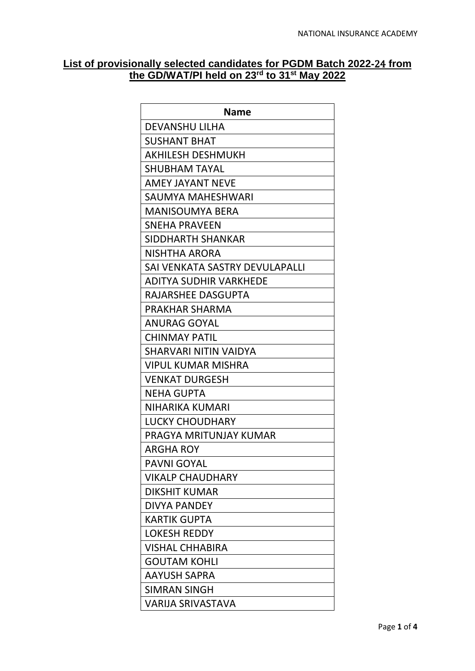## **List of provisionally selected candidates for PGDM Batch 2022**‐24 **from the GD/WAT/PI held on 23rd to 31st May 2022**

| Name                           |
|--------------------------------|
| <b>DEVANSHU LILHA</b>          |
| <b>SUSHANT BHAT</b>            |
| <b>AKHILESH DESHMUKH</b>       |
| SHUBHAM TAYAL                  |
| AMEY JAYANT NEVE               |
| SAUMYA MAHESHWARI              |
| <b>MANISOUMYA BERA</b>         |
| <b>SNEHA PRAVEEN</b>           |
| SIDDHARTH SHANKAR              |
| NISHTHA ARORA                  |
| SAI VENKATA SASTRY DEVULAPALLI |
| ADITYA SUDHIR VARKHEDE         |
| RAJARSHEE DASGUPTA             |
| PRAKHAR SHARMA                 |
| <b>ANURAG GOYAL</b>            |
| <b>CHINMAY PATIL</b>           |
| SHARVARI NITIN VAIDYA          |
| VIPUL KUMAR MISHRA             |
| <b>VENKAT DURGESH</b>          |
| <b>NEHA GUPTA</b>              |
| NIHARIKA KUMARI                |
| LUCKY CHOUDHARY                |
| PRAGYA MRITUNJAY KUMAR         |
| <b>ARGHA ROY</b>               |
| <b>PAVNI GOYAL</b>             |
| <b>VIKALP CHAUDHARY</b>        |
| <b>DIKSHIT KUMAR</b>           |
| <b>DIVYA PANDEY</b>            |
| <b>KARTIK GUPTA</b>            |
| <b>LOKESH REDDY</b>            |
| VISHAL CHHABIRA                |
| <b>GOUTAM KOHLI</b>            |
| <b>AAYUSH SAPRA</b>            |
| <b>SIMRAN SINGH</b>            |
| <b>VARIJA SRIVASTAVA</b>       |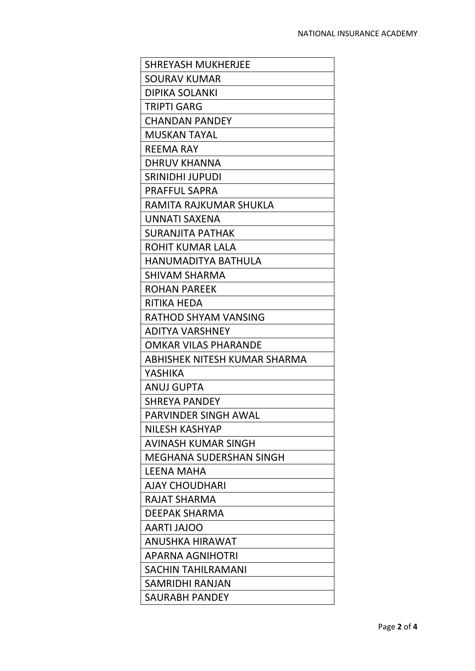| <b>SHREYASH MUKHERJEE</b>      |
|--------------------------------|
| <b>SOURAV KUMAR</b>            |
| <b>DIPIKA SOLANKI</b>          |
| <b>TRIPTI GARG</b>             |
| <b>CHANDAN PANDEY</b>          |
| MUSKAN TAYAL                   |
| <b>REEMA RAY</b>               |
| DHRUV KHANNA                   |
| SRINIDHI JUPUDI                |
| <b>PRAFFUL SAPRA</b>           |
| RAMITA RAJKUMAR SHUKLA         |
| UNNATI SAXENA                  |
| <b>SURANJITA PATHAK</b>        |
| ROHIT KUMAR LALA               |
| <b>HANUMADITYA BATHULA</b>     |
| <b>SHIVAM SHARMA</b>           |
| <b>ROHAN PAREEK</b>            |
| <b>RITIKA HEDA</b>             |
| RATHOD SHYAM VANSING           |
| <b>ADITYA VARSHNEY</b>         |
| OMKAR VILAS PHARANDE           |
| ABHISHEK NITESH KUMAR SHARMA   |
| YASHIKA                        |
| ANUJ GUPTA                     |
| SHREYA PANDEY                  |
| PARVINDER SINGH AWAL           |
| <b>NILESH KASHYAP</b>          |
| AVINASH KUMAR SINGH            |
| <b>MEGHANA SUDERSHAN SINGH</b> |
| <b>LEENA MAHA</b>              |
| <b>AJAY CHOUDHARI</b>          |
| RAJAT SHARMA                   |
| <b>DEEPAK SHARMA</b>           |
| <b>AARTI JAJOO</b>             |
| <b>ANUSHKA HIRAWAT</b>         |
| APARNA AGNIHOTRI               |
| <b>SACHIN TAHILRAMANI</b>      |
| SAMRIDHI RANJAN                |
| SAURABH PANDEY                 |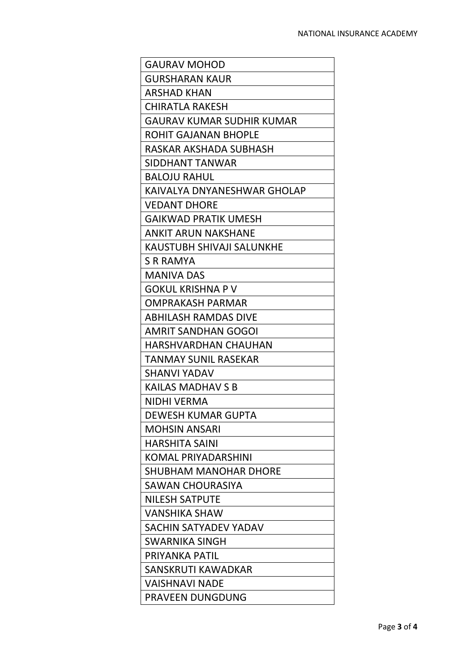| <b>GAURAV MOHOD</b>              |
|----------------------------------|
| <b>GURSHARAN KAUR</b>            |
| <b>ARSHAD KHAN</b>               |
| <b>CHIRATLA RAKESH</b>           |
| <b>GAURAV KUMAR SUDHIR KUMAR</b> |
| ROHIT GAJANAN BHOPLE             |
| RASKAR AKSHADA SUBHASH           |
| SIDDHANT TANWAR                  |
| <b>BALOJU RAHUL</b>              |
| KAIVALYA DNYANESHWAR GHOLAP      |
| <b>VEDANT DHORE</b>              |
| <b>GAIKWAD PRATIK UMESH</b>      |
| ANKIT ARUN NAKSHANE              |
| KAUSTUBH SHIVAJI SALUNKHE        |
| <b>S R RAMYA</b>                 |
| <b>MANIVA DAS</b>                |
| <b>GOKUL KRISHNA P V</b>         |
| <b>OMPRAKASH PARMAR</b>          |
| <b>ABHILASH RAMDAS DIVE</b>      |
| <b>AMRIT SANDHAN GOGOI</b>       |
| <b>HARSHVARDHAN CHAUHAN</b>      |
| TANMAY SUNIL RASEKAR             |
| <b>SHANVI YADAV</b>              |
| <b>KAILAS MADHAV S B</b>         |
| <b>NIDHI VERMA</b>               |
| <b>DEWESH KUMAR GUPTA</b>        |
| <b>MOHSIN ANSARI</b>             |
| HARSHITA SAINI                   |
| KOMAL PRIYADARSHINI              |
| <b>SHUBHAM MANOHAR DHORE</b>     |
| <b>SAWAN CHOURASIYA</b>          |
| <b>NILESH SATPUTE</b>            |
| <b>VANSHIKA SHAW</b>             |
| SACHIN SATYADEV YADAV            |
| SWARNIKA SINGH                   |
| PRIYANKA PATIL                   |
| SANSKRUTI KAWADKAR               |
| <b>VAISHNAVI NADE</b>            |
| <b>PRAVEEN DUNGDUNG</b>          |